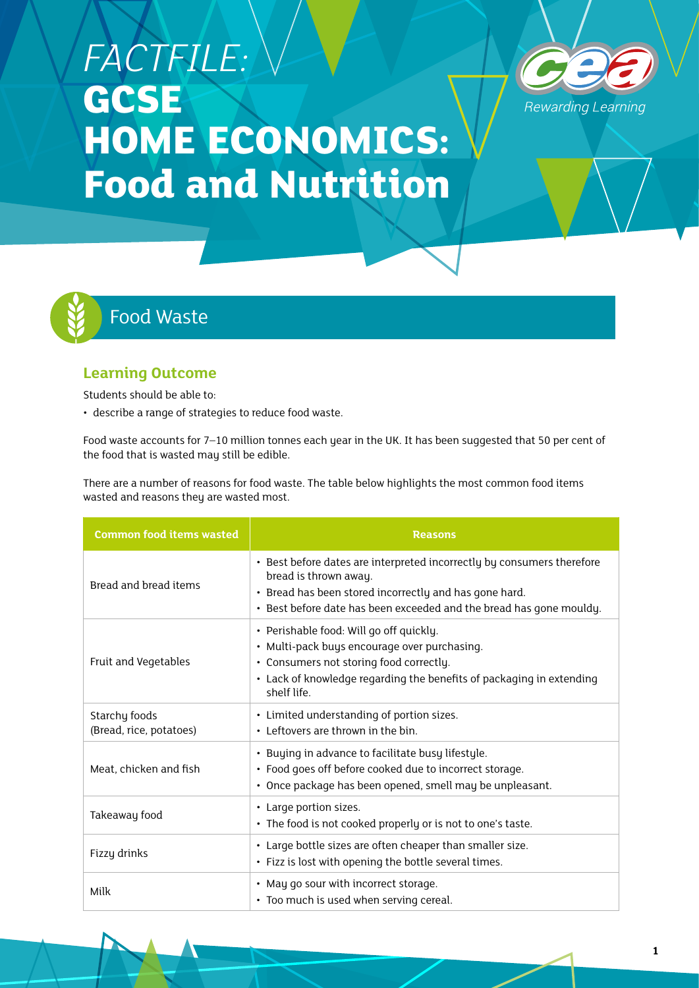# *FACTFILE:*  **GCSE HOME ECONOMICS: Food and Nutrition**





# Food Waste

# **Learning Outcome**

Students should be able to:

• describe a range of strategies to reduce food waste.

Food waste accounts for 7–10 million tonnes each year in the UK. It has been suggested that 50 per cent of the food that is wasted may still be edible.

There are a number of reasons for food waste. The table below highlights the most common food items wasted and reasons they are wasted most.

| <b>Common food items wasted</b>          | <b>Reasons</b>                                                                                                                                                                                                                   |
|------------------------------------------|----------------------------------------------------------------------------------------------------------------------------------------------------------------------------------------------------------------------------------|
| Bread and bread items                    | • Best before dates are interpreted incorrectly by consumers therefore<br>bread is thrown away.<br>· Bread has been stored incorrectly and has gone hard.<br>• Best before date has been exceeded and the bread has gone mouldy. |
| Fruit and Vegetables                     | • Perishable food: Will go off quickly.<br>· Multi-pack buys encourage over purchasing.<br>• Consumers not storing food correctly.<br>• Lack of knowledge regarding the benefits of packaging in extending<br>shelf life.        |
| Starchy foods<br>(Bread, rice, potatoes) | • Limited understanding of portion sizes.<br>• Leftovers are thrown in the bin.                                                                                                                                                  |
| Meat, chicken and fish                   | • Buying in advance to facilitate busy lifestyle.<br>• Food goes off before cooked due to incorrect storage.<br>• Once package has been opened, smell may be unpleasant.                                                         |
| Takeaway food                            | • Large portion sizes.<br>• The food is not cooked properly or is not to one's taste.                                                                                                                                            |
| Fizzy drinks                             | • Large bottle sizes are often cheaper than smaller size.<br>• Fizz is lost with opening the bottle several times.                                                                                                               |
| Milk                                     | • May go sour with incorrect storage.<br>• Too much is used when serving cereal.                                                                                                                                                 |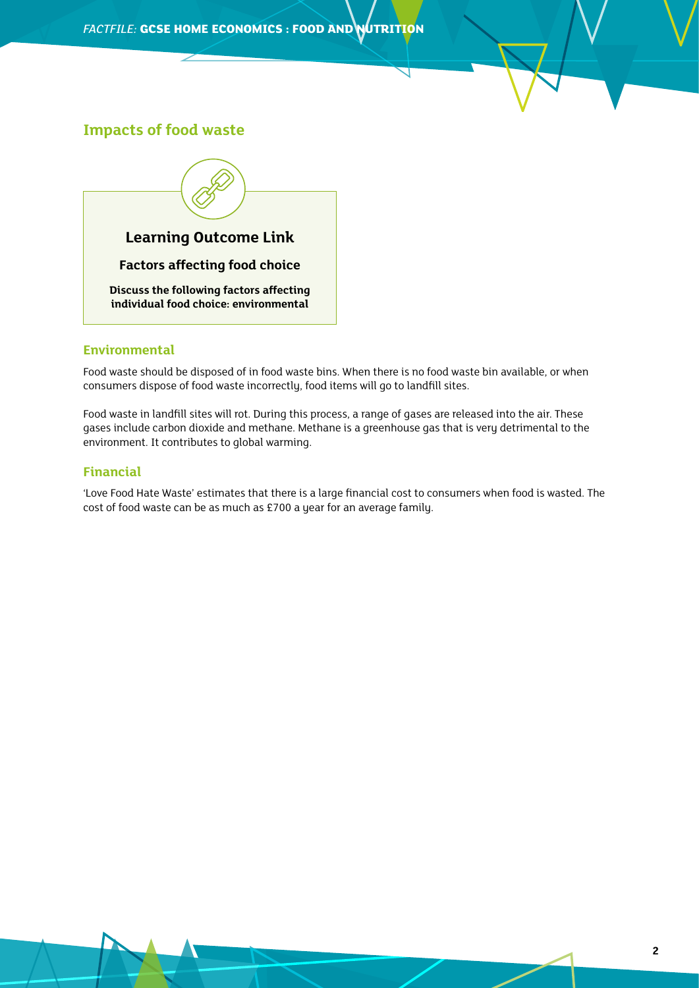### **Impacts of food waste**



#### **Environmental**

Food waste should be disposed of in food waste bins. When there is no food waste bin available, or when consumers dispose of food waste incorrectly, food items will go to landfill sites.

Food waste in landfill sites will rot. During this process, a range of gases are released into the air. These gases include carbon dioxide and methane. Methane is a greenhouse gas that is very detrimental to the environment. It contributes to global warming.

#### **Financial**

'Love Food Hate Waste' estimates that there is a large financial cost to consumers when food is wasted. The cost of food waste can be as much as £700 a year for an average family.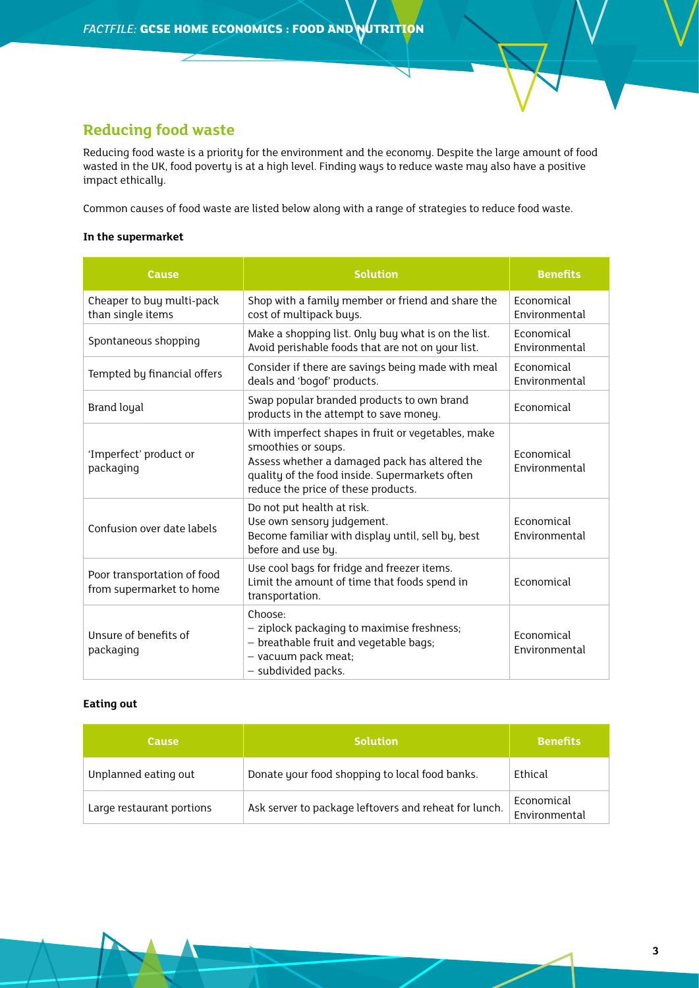# **Reducing food waste**

Reducing food waste is a priority for the environment and the economy. Despite the large amount of food wasted in the UK, food poverty is at a high level. Finding ways to reduce waste may also have a positive impact ethically.

Common causes of food waste are listed below along with a range of strategies to reduce food waste.

#### **In the supermarket**

| Cause                                                   | <b>Solution</b>                                                                                                                                                                                                     | <b>Benefits</b>             |
|---------------------------------------------------------|---------------------------------------------------------------------------------------------------------------------------------------------------------------------------------------------------------------------|-----------------------------|
| Cheaper to buy multi-pack<br>than single items          | Shop with a family member or friend and share the<br>cost of multipack buys.                                                                                                                                        | Economical<br>Environmental |
| Spontaneous shopping                                    | Make a shopping list. Only buy what is on the list.<br>Avoid perishable foods that are not on your list.                                                                                                            | Economical<br>Environmental |
| Tempted by financial offers                             | Consider if there are savings being made with meal<br>deals and 'bogof' products.                                                                                                                                   | Economical<br>Environmental |
| <b>Brand loyal</b>                                      | Swap popular branded products to own brand<br>products in the attempt to save money.                                                                                                                                | Economical                  |
| 'Imperfect' product or<br>packaging                     | With imperfect shapes in fruit or vegetables, make<br>smoothies or soups.<br>Assess whether a damaged pack has altered the<br>quality of the food inside. Supermarkets often<br>reduce the price of these products. | Economical<br>Environmental |
| Confusion over date labels                              | Do not put health at risk.<br>Use own sensory judgement.<br>Become familiar with display until, sell by, best<br>before and use by.                                                                                 | Economical<br>Environmental |
| Poor transportation of food<br>from supermarket to home | Use cool bags for fridge and freezer items.<br>Limit the amount of time that foods spend in<br>transportation.                                                                                                      | Economical                  |
| Unsure of benefits of<br>packaging                      | Choose:<br>- ziplock packaging to maximise freshness;<br>- breathable fruit and vegetable bags;<br>- vacuum pack meat;<br>- subdivided packs.                                                                       | Economical<br>Environmental |

#### **Eating out**

| <b>Cause</b>              | <b>Solution</b>                                       | <b>Benefits</b>             |
|---------------------------|-------------------------------------------------------|-----------------------------|
| Unplanned eating out      | Donate your food shopping to local food banks.        | Ethical                     |
| Large restaurant portions | Ask server to package leftovers and reheat for lunch. | Economical<br>Environmental |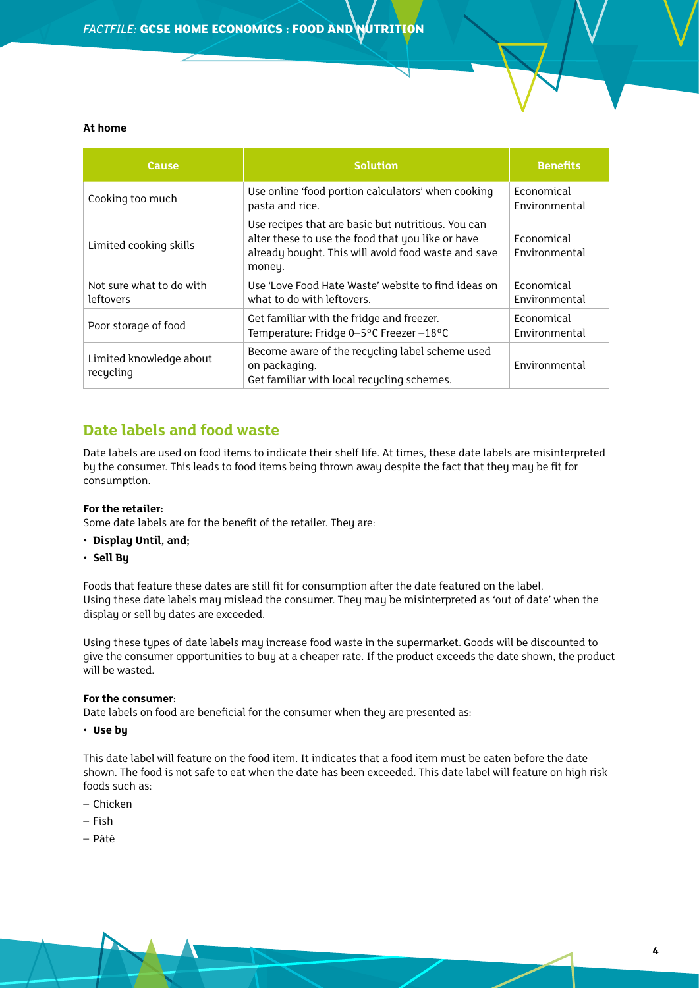#### **At home**

| <b>Cause</b>                          | <b>Solution</b>                                                                                                                                                          | <b>Benefits</b>                    |
|---------------------------------------|--------------------------------------------------------------------------------------------------------------------------------------------------------------------------|------------------------------------|
| Cooking too much                      | Use online 'food portion calculators' when cooking<br>pasta and rice.                                                                                                    | Economical<br>Environmental        |
| Limited cooking skills                | Use recipes that are basic but nutritious. You can<br>alter these to use the food that you like or have<br>already bought. This will avoid food waste and save<br>money. | <b>Economical</b><br>Environmental |
| Not sure what to do with<br>leftovers | Use 'Love Food Hate Waste' website to find ideas on<br>what to do with leftovers.                                                                                        | <b>Economical</b><br>Environmental |
| Poor storage of food                  | Get familiar with the fridge and freezer.<br>Temperature: Fridge 0-5°C Freezer-18°C                                                                                      | Economical<br><b>Fnvironmental</b> |
| Limited knowledge about<br>recycling  | Become aware of the recycling label scheme used<br>on packaging.<br>Get familiar with local recycling schemes.                                                           | Environmental                      |

# **Date labels and food waste**

Date labels are used on food items to indicate their shelf life. At times, these date labels are misinterpreted by the consumer. This leads to food items being thrown away despite the fact that they may be fit for consumption.

#### **For the retailer:**

Some date labels are for the benefit of the retailer. They are:

- **Display Until, and;**
- **Sell By**

Foods that feature these dates are still fit for consumption after the date featured on the label. Using these date labels may mislead the consumer. They may be misinterpreted as 'out of date' when the display or sell by dates are exceeded.

Using these types of date labels may increase food waste in the supermarket. Goods will be discounted to give the consumer opportunities to buy at a cheaper rate. If the product exceeds the date shown, the product will be wasted.

#### **For the consumer:**

Date labels on food are beneficial for the consumer when they are presented as:

• **Use by** 

This date label will feature on the food item. It indicates that a food item must be eaten before the date shown. The food is not safe to eat when the date has been exceeded. This date label will feature on high risk foods such as:

- Chicken
- Fish
- Pâté